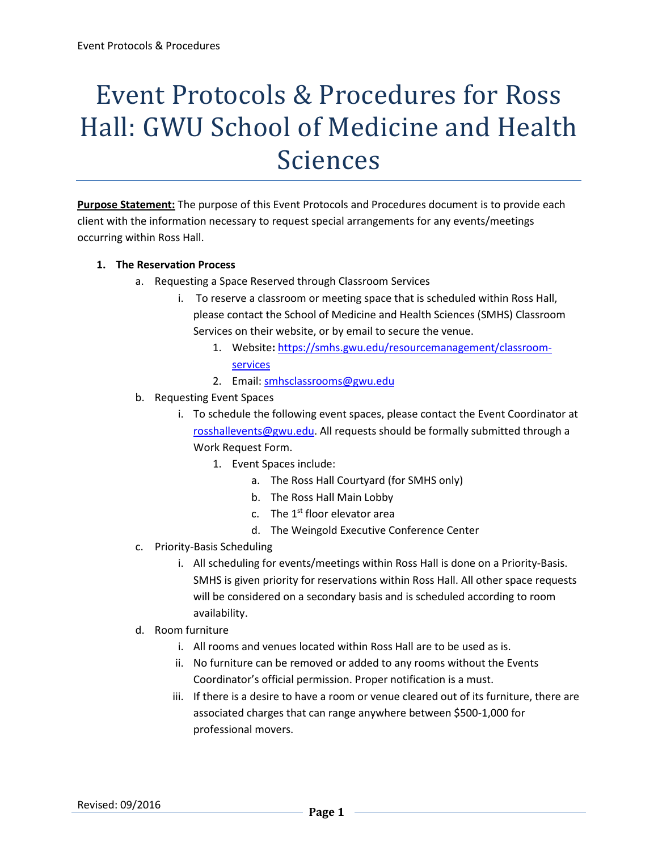# Event Protocols & Procedures for Ross Hall: GWU School of Medicine and Health Sciences

**Purpose Statement:** The purpose of this Event Protocols and Procedures document is to provide each client with the information necessary to request special arrangements for any events/meetings occurring within Ross Hall.

#### **1. The Reservation Process**

- a. Requesting a Space Reserved through Classroom Services
	- i. To reserve a classroom or meeting space that is scheduled within Ross Hall, please contact the School of Medicine and Health Sciences (SMHS) Classroom Services on their website, or by email to secure the venue.
		- 1. Website**:** [https://smhs.gwu.edu/resourcemanagement/classroom](https://smhs.gwu.edu/resourcemanagement/classroom-services)[services](https://smhs.gwu.edu/resourcemanagement/classroom-services)
		- 2. Email: smhsclassrooms@gwu.edu
- b. Requesting Event Spaces
	- i. To schedule the following event spaces, please contact the Event Coordinator at [rosshallevents@gwu.edu.](mailto:rosshallevents@gwu.edu) All requests should be formally submitted through a Work Request Form.
		- 1. Event Spaces include:
			- a. The Ross Hall Courtyard (for SMHS only)
			- b. The Ross Hall Main Lobby
			- c. The  $1^{st}$  floor elevator area
			- d. The Weingold Executive Conference Center
- c. Priority-Basis Scheduling
	- i. All scheduling for events/meetings within Ross Hall is done on a Priority-Basis. SMHS is given priority for reservations within Ross Hall. All other space requests will be considered on a secondary basis and is scheduled according to room availability.
- d. Room furniture
	- i. All rooms and venues located within Ross Hall are to be used as is.
	- ii. No furniture can be removed or added to any rooms without the Events Coordinator's official permission. Proper notification is a must.
	- iii. If there is a desire to have a room or venue cleared out of its furniture, there are associated charges that can range anywhere between \$500-1,000 for professional movers.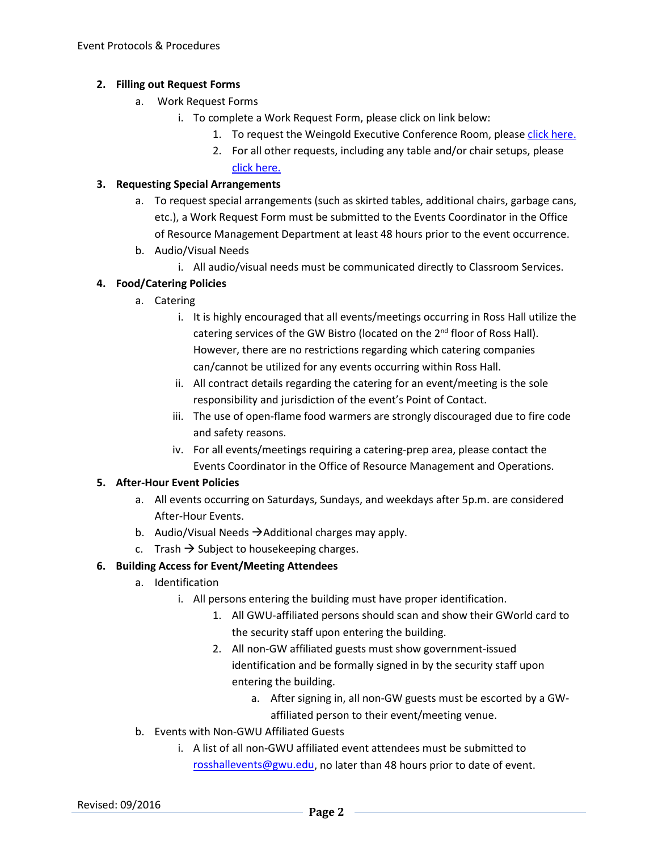## **2. Filling out Request Forms**

- a. Work Request Forms
	- i. To complete a Work Request Form, please click on link below:
		- 1. To request the Weingold Executive Conference Room, please [click here.](https://smhs.gwu.edu/resourcemanagement/sites/resourcemanagement/files/Weingold%20Request%20Form%20%281%29.pdf)
		- 2. For all other requests, including any table and/or chair setups, please [click here.](https://smhs.gwu.edu/resourcemanagement/event-planning/events-setup-request)

#### **3. Requesting Special Arrangements**

- a. To request special arrangements (such as skirted tables, additional chairs, garbage cans, etc.), a Work Request Form must be submitted to the Events Coordinator in the Office of Resource Management Department at least 48 hours prior to the event occurrence.
- b. Audio/Visual Needs
	- i. All audio/visual needs must be communicated directly to Classroom Services.

## **4. Food/Catering Policies**

- a. Catering
	- i. It is highly encouraged that all events/meetings occurring in Ross Hall utilize the catering services of the GW Bistro (located on the 2<sup>nd</sup> floor of Ross Hall). However, there are no restrictions regarding which catering companies can/cannot be utilized for any events occurring within Ross Hall.
	- ii. All contract details regarding the catering for an event/meeting is the sole responsibility and jurisdiction of the event's Point of Contact.
	- iii. The use of open-flame food warmers are strongly discouraged due to fire code and safety reasons.
	- iv. For all events/meetings requiring a catering-prep area, please contact the Events Coordinator in the Office of Resource Management and Operations.

## **5. After-Hour Event Policies**

- a. All events occurring on Saturdays, Sundays, and weekdays after 5p.m. are considered After-Hour Events.
- b. Audio/Visual Needs  $\rightarrow$  Additional charges may apply.
- c. Trash  $\rightarrow$  Subject to housekeeping charges.

# **6. Building Access for Event/Meeting Attendees**

- a. Identification
	- i. All persons entering the building must have proper identification.
		- 1. All GWU-affiliated persons should scan and show their GWorld card to the security staff upon entering the building.
		- 2. All non-GW affiliated guests must show government-issued identification and be formally signed in by the security staff upon entering the building.
			- a. After signing in, all non-GW guests must be escorted by a GWaffiliated person to their event/meeting venue.
- b. Events with Non-GWU Affiliated Guests
	- i. A list of all non-GWU affiliated event attendees must be submitted to [rosshallevents@gwu.edu,](mailto:rosshallevents@gwu.edu) no later than 48 hours prior to date of event.